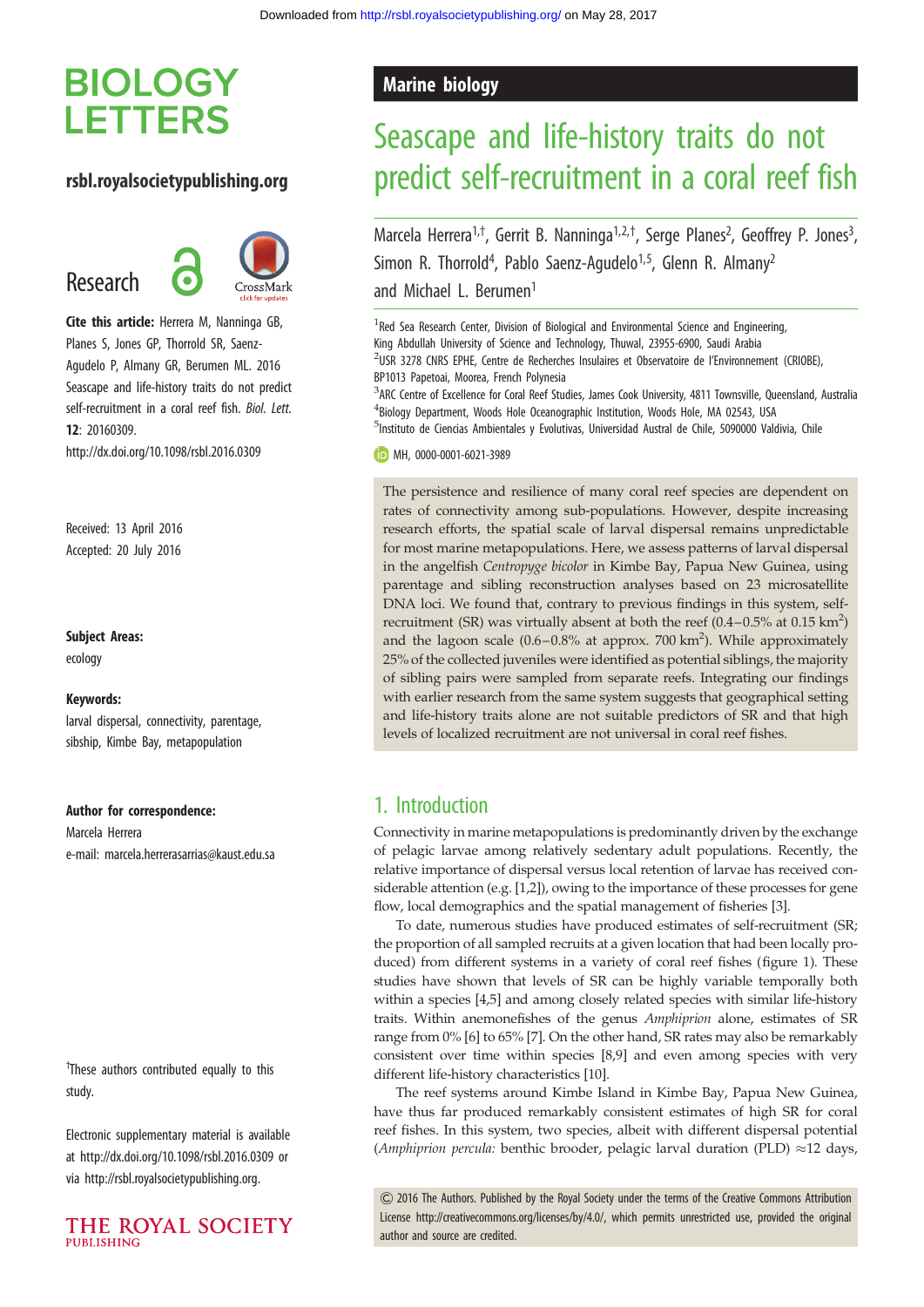## **BIOLOGY LETTERS**

### rsbl.royalsocietypublishing.org

Research



Cite this article: Herrera M, Nanninga GB, Planes S, Jones GP, Thorrold SR, Saenz-Agudelo P, Almany GR, Berumen ML. 2016 Seascape and life-history traits do not predict self-recruitment in a coral reef fish. Biol. Lett. 12: 20160309. http://dx.doi.org/10.1098/rsbl.2016.0309

Received: 13 April 2016 Accepted: 20 July 2016

### Subject Areas:

ecology

#### Keywords:

larval dispersal, connectivity, parentage, sibship, Kimbe Bay, metapopulation

#### Author for correspondence:

Marcela Herrera e-mail: [marcela.herrerasarrias@kaust.edu.sa](mailto:marcela.herrerasarrias@kaust.edu.sa)

<sup>†</sup>These authors contributed equally to this study.

Electronic supplementary material is available at<http://dx.doi.org/10.1098/rsbl.2016.0309> or via<http://rsbl.royalsocietypublishing.org>.



### Marine biology

# Seascape and life-history traits do not predict self-recruitment in a coral reef fish

Marcela Herrera<sup>1,†</sup>, Gerrit B. Nanninga<sup>1,2,†</sup>, Serge Planes<sup>2</sup>, Geoffrey P. Jones<sup>3</sup> , Simon R. Thorrold<sup>4</sup>, Pablo Saenz-Agudelo<sup>1,5</sup>, Glenn R. Almany<sup>2</sup> and Michael L. Berumen<sup>1</sup>

<sup>1</sup> Red Sea Research Center, Division of Biological and Environmental Science and Engineering, King Abdullah University of Science and Technology, Thuwal, 23955-6900, Saudi Arabia <sup>2</sup>USR 3278 CNRS EPHE, Centre de Recherches Insulaires et Observatoire de l'Environnement (CRIOBE), BP1013 Papetoai, Moorea, French Polynesia

3 ARC Centre of Excellence for Coral Reef Studies, James Cook University, 4811 Townsville, Queensland, Australia 4 Biology Department, Woods Hole Oceanographic Institution, Woods Hole, MA 02543, USA 5 Instituto de Ciencias Ambientales y Evolutivas, Universidad Austral de Chile, 5090000 Valdivia, Chile

MH, [0000-0001-6021-3989](http://orcid.org/0000-0001-6021-3989)

The persistence and resilience of many coral reef species are dependent on rates of connectivity among sub-populations. However, despite increasing research efforts, the spatial scale of larval dispersal remains unpredictable for most marine metapopulations. Here, we assess patterns of larval dispersal in the angelfish Centropyge bicolor in Kimbe Bay, Papua New Guinea, using parentage and sibling reconstruction analyses based on 23 microsatellite DNA loci. We found that, contrary to previous findings in this system, selfrecruitment (SR) was virtually absent at both the reef  $(0.4-0.5\%$  at  $0.15 \text{ km}^2)$ and the lagoon scale (0.6-0.8% at approx. 700 km<sup>2</sup>). While approximately 25% of the collected juveniles were identified as potential siblings, the majority of sibling pairs were sampled from separate reefs. Integrating our findings with earlier research from the same system suggests that geographical setting and life-history traits alone are not suitable predictors of SR and that high levels of localized recruitment are not universal in coral reef fishes.

### 1. Introduction

Connectivity in marine metapopulations is predominantly driven by the exchange of pelagic larvae among relatively sedentary adult populations. Recently, the relative importance of dispersal versus local retention of larvae has received considerable attention (e.g. [[1,2\]](#page-2-0)), owing to the importance of these processes for gene flow, local demographics and the spatial management of fisheries [\[3](#page-3-0)].

To date, numerous studies have produced estimates of self-recruitment (SR; the proportion of all sampled recruits at a given location that had been locally produced) from different systems in a variety of coral reef fishes ([figure 1\)](#page-1-0). These studies have shown that levels of SR can be highly variable temporally both within a species [\[4](#page-3-0),[5](#page-3-0)] and among closely related species with similar life-history traits. Within anemonefishes of the genus Amphiprion alone, estimates of SR range from 0% [\[6](#page-3-0)] to 65% [\[7\]](#page-3-0). On the other hand, SR rates may also be remarkably consistent over time within species [\[8,9](#page-3-0)] and even among species with very different life-history characteristics [\[10\]](#page-3-0).

The reef systems around Kimbe Island in Kimbe Bay, Papua New Guinea, have thus far produced remarkably consistent estimates of high SR for coral reef fishes. In this system, two species, albeit with different dispersal potential (Amphiprion percula: benthic brooder, pelagic larval duration (PLD)  $\approx$ 12 days,

& 2016 The Authors. Published by the Royal Society under the terms of the Creative Commons Attribution License [http://creativecommons.org/licenses/by/4.0/, which permits unrestricted use, provided the original](http://creativecommons.org/licenses/by/4.0/) [author and source are credited.](http://creativecommons.org/licenses/by/4.0/)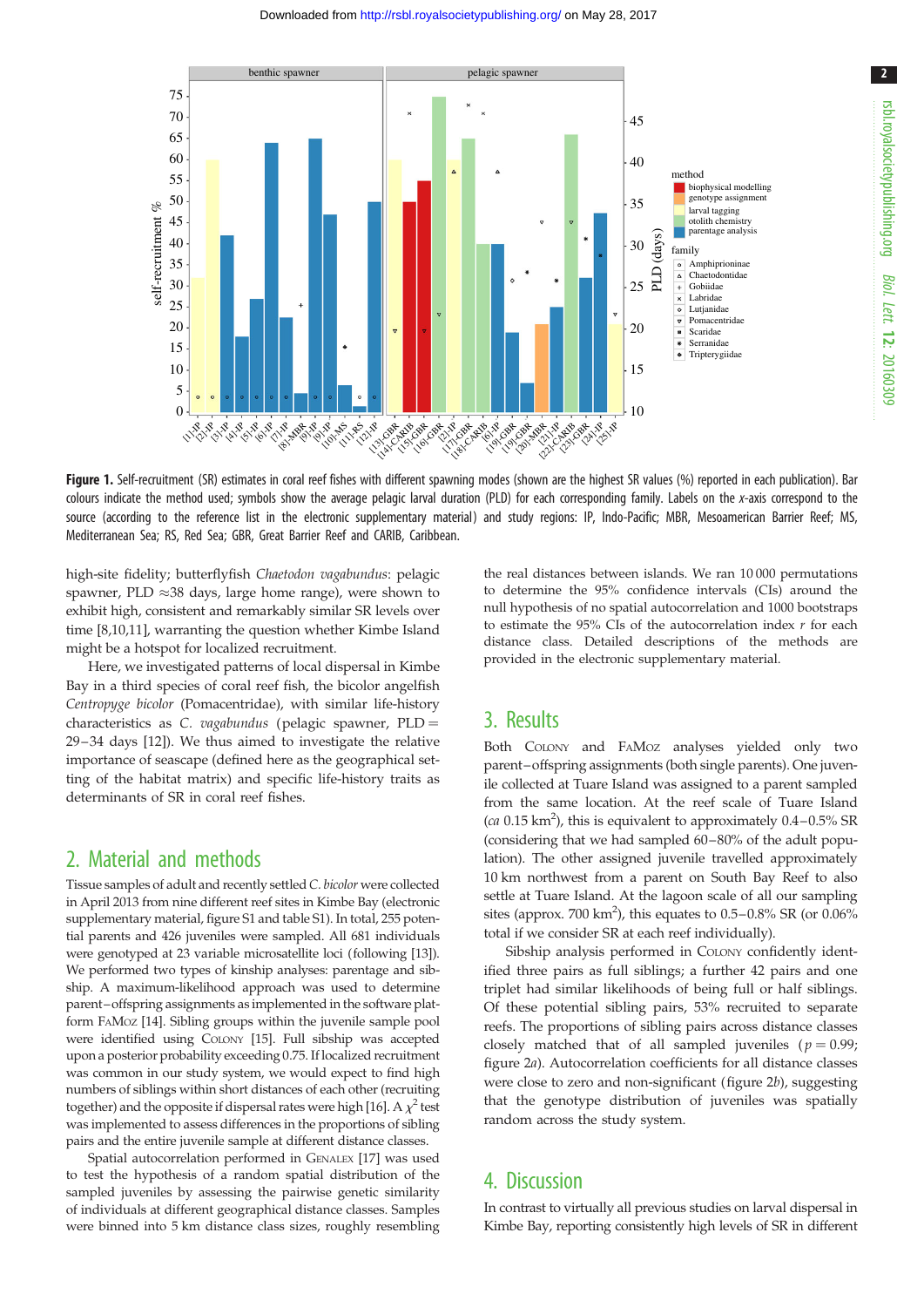

<span id="page-1-0"></span>

Figure 1. Self-recruitment (SR) estimates in coral reef fishes with different spawning modes (shown are the highest SR values (%) reported in each publication). Bar colours indicate the method used; symbols show the average pelagic larval duration (PLD) for each corresponding family. Labels on the x-axis correspond to the source (according to the reference list in the electronic supplementary material) and study regions: IP, Indo-Pacific; MBR, Mesoamerican Barrier Reef; MS, Mediterranean Sea; RS, Red Sea; GBR, Great Barrier Reef and CARIB, Caribbean.

high-site fidelity; butterflyfish Chaetodon vagabundus: pelagic spawner, PLD  ${\approx}38$  days, large home range), were shown to exhibit high, consistent and remarkably similar SR levels over time [\[8,10,11](#page-3-0)], warranting the question whether Kimbe Island might be a hotspot for localized recruitment.

Here, we investigated patterns of local dispersal in Kimbe Bay in a third species of coral reef fish, the bicolor angelfish Centropyge bicolor (Pomacentridae), with similar life-history characteristics as C. vagabundus (pelagic spawner,  $PLD =$ 29– 34 days [\[12](#page-3-0)]). We thus aimed to investigate the relative importance of seascape (defined here as the geographical setting of the habitat matrix) and specific life-history traits as determinants of SR in coral reef fishes.

### 2. Material and methods

Tissue samples of adult and recently settled C. bicolor were collected in April 2013 from nine different reef sites in Kimbe Bay (electronic supplementary material, figure S1 and table S1). In total, 255 potential parents and 426 juveniles were sampled. All 681 individuals were genotyped at 23 variable microsatellite loci (following [[13\]](#page-3-0)). We performed two types of kinship analyses: parentage and sibship. A maximum-likelihood approach was used to determine parent–offspring assignments as implemented in the software platform FAMOZ [[14](#page-3-0)]. Sibling groups within the juvenile sample pool were identified using COLONY [\[15\]](#page-3-0). Full sibship was accepted upon a posterior probability exceeding 0.75. If localized recruitment was common in our study system, we would expect to find high numbers of siblings within short distances of each other (recruiting together) and the opposite if dispersal rates were high [\[16\]](#page-3-0). A  $\chi^2$  test was implemented to assess differences in the proportions of sibling pairs and the entire juvenile sample at different distance classes.

Spatial autocorrelation performed in GENALEX [[17](#page-3-0)] was used to test the hypothesis of a random spatial distribution of the sampled juveniles by assessing the pairwise genetic similarity of individuals at different geographical distance classes. Samples were binned into 5 km distance class sizes, roughly resembling the real distances between islands. We ran 10 000 permutations to determine the 95% confidence intervals (CIs) around the null hypothesis of no spatial autocorrelation and 1000 bootstraps to estimate the 95% CIs of the autocorrelation index  $r$  for each distance class. Detailed descriptions of the methods are provided in the electronic supplementary material.

### 3. Results

Both COLONY and FAMOZ analyses yielded only two parent–offspring assignments (both single parents). One juvenile collected at Tuare Island was assigned to a parent sampled from the same location. At the reef scale of Tuare Island (ca  $0.15 \text{ km}^2$ ), this is equivalent to approximately  $0.4 - 0.5\%$  SR (considering that we had sampled 60–80% of the adult population). The other assigned juvenile travelled approximately 10 km northwest from a parent on South Bay Reef to also settle at Tuare Island. At the lagoon scale of all our sampling sites (approx. 700 km<sup>2</sup>), this equates to  $0.5-0.8\%$  SR (or  $0.06\%$ total if we consider SR at each reef individually).

Sibship analysis performed in COLONY confidently identified three pairs as full siblings; a further 42 pairs and one triplet had similar likelihoods of being full or half siblings. Of these potential sibling pairs, 53% recruited to separate reefs. The proportions of sibling pairs across distance classes closely matched that of all sampled juveniles ( $p = 0.99$ ; [figure 2](#page-2-0)a). Autocorrelation coefficients for all distance classes were close to zero and non-significant ([figure 2](#page-2-0)b), suggesting that the genotype distribution of juveniles was spatially random across the study system.

## 4. Discussion

In contrast to virtually all previous studies on larval dispersal in Kimbe Bay, reporting consistently high levels of SR in different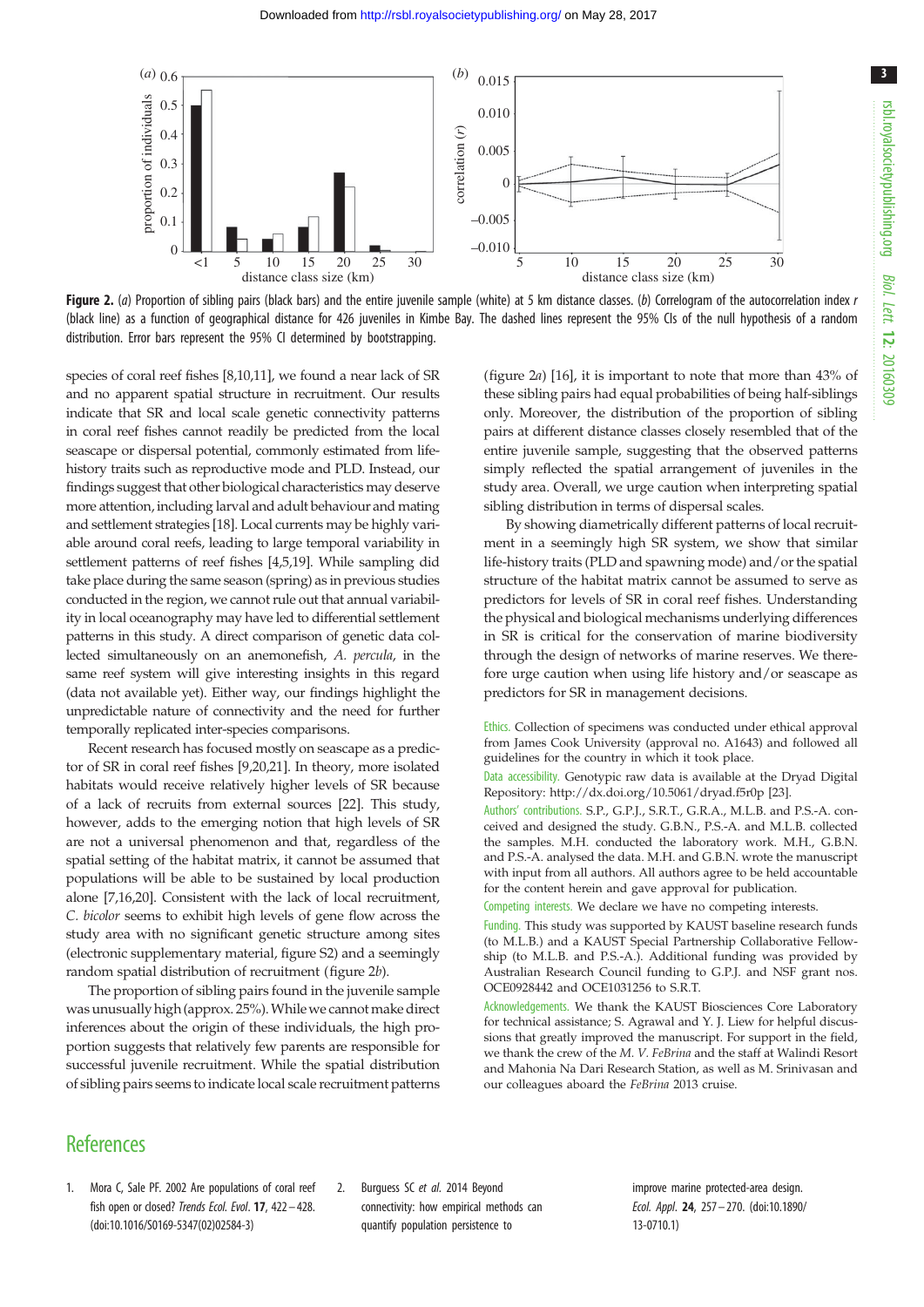<span id="page-2-0"></span>

Figure 2. (a) Proportion of sibling pairs (black bars) and the entire juvenile sample (white) at 5 km distance classes. (b) Correlogram of the autocorrelation index r (black line) as a function of geographical distance for 426 juveniles in Kimbe Bay. The dashed lines represent the 95% CIs of the null hypothesis of a random distribution. Error bars represent the 95% CI determined by bootstrapping.

species of coral reef fishes [\[8,10,11](#page-3-0)], we found a near lack of SR and no apparent spatial structure in recruitment. Our results indicate that SR and local scale genetic connectivity patterns in coral reef fishes cannot readily be predicted from the local seascape or dispersal potential, commonly estimated from lifehistory traits such as reproductive mode and PLD. Instead, our findings suggest that other biological characteristics may deserve more attention, including larval and adult behaviour and mating and settlement strategies [[18](#page-3-0)]. Local currents may be highly variable around coral reefs, leading to large temporal variability in settlement patterns of reef fishes [\[4,5,19](#page-3-0)]. While sampling did take place during the same season (spring) as in previous studies conducted in the region, we cannot rule out that annual variability in local oceanography may have led to differential settlement patterns in this study. A direct comparison of genetic data collected simultaneously on an anemonefish, A. percula, in the same reef system will give interesting insights in this regard (data not available yet). Either way, our findings highlight the unpredictable nature of connectivity and the need for further temporally replicated inter-species comparisons.

Recent research has focused mostly on seascape as a predictor of SR in coral reef fishes [\[9](#page-3-0),[20](#page-3-0),[21](#page-3-0)]. In theory, more isolated habitats would receive relatively higher levels of SR because of a lack of recruits from external sources [[22\]](#page-3-0). This study, however, adds to the emerging notion that high levels of SR are not a universal phenomenon and that, regardless of the spatial setting of the habitat matrix, it cannot be assumed that populations will be able to be sustained by local production alone [[7,16,20](#page-3-0)]. Consistent with the lack of local recruitment, C. bicolor seems to exhibit high levels of gene flow across the study area with no significant genetic structure among sites (electronic supplementary material, figure S2) and a seemingly random spatial distribution of recruitment (figure 2b).

The proportion of sibling pairs found in the juvenile sample was unusually high (approx. 25%). While we cannot make direct inferences about the origin of these individuals, the high proportion suggests that relatively few parents are responsible for successful juvenile recruitment. While the spatial distribution of sibling pairs seems to indicate local scale recruitment patterns

(figure 2a) [\[16\]](#page-3-0), it is important to note that more than 43% of these sibling pairs had equal probabilities of being half-siblings only. Moreover, the distribution of the proportion of sibling pairs at different distance classes closely resembled that of the entire juvenile sample, suggesting that the observed patterns simply reflected the spatial arrangement of juveniles in the study area. Overall, we urge caution when interpreting spatial sibling distribution in terms of dispersal scales.

By showing diametrically different patterns of local recruitment in a seemingly high SR system, we show that similar life-history traits (PLD and spawning mode) and/or the spatial structure of the habitat matrix cannot be assumed to serve as predictors for levels of SR in coral reef fishes. Understanding the physical and biological mechanisms underlying differences in SR is critical for the conservation of marine biodiversity through the design of networks of marine reserves. We therefore urge caution when using life history and/or seascape as predictors for SR in management decisions.

Ethics. Collection of specimens was conducted under ethical approval from James Cook University (approval no. A1643) and followed all guidelines for the country in which it took place.

Data accessibility. Genotypic raw data is available at the Dryad Digital Repository:<http://dx.doi.org/10.5061/dryad.f5r0p> [[23\]](#page-3-0).

Authors' contributions. S.P., G.P.J., S.R.T., G.R.A., M.L.B. and P.S.-A. conceived and designed the study. G.B.N., P.S.-A. and M.L.B. collected the samples. M.H. conducted the laboratory work. M.H., G.B.N. and P.S.-A. analysed the data. M.H. and G.B.N. wrote the manuscript with input from all authors. All authors agree to be held accountable for the content herein and gave approval for publication.

Competing interests. We declare we have no competing interests.

Funding. This study was supported by KAUST baseline research funds (to M.L.B.) and a KAUST Special Partnership Collaborative Fellowship (to M.L.B. and P.S.-A.). Additional funding was provided by Australian Research Council funding to G.P.J. and NSF grant nos. OCE0928442 and OCE1031256 to S.R.T.

Acknowledgements. We thank the KAUST Biosciences Core Laboratory for technical assistance; S. Agrawal and Y. J. Liew for helpful discussions that greatly improved the manuscript. For support in the field, we thank the crew of the M. V. FeBrina and the staff at Walindi Resort and Mahonia Na Dari Research Station, as well as M. Srinivasan and our colleagues aboard the FeBrina 2013 cruise.

### **References**

- 1. Mora C, Sale PF. 2002 Are populations of coral reef fish open or closed? Trends Ecol. Evol. 17, 422-428. [\(doi:10.1016/S0169-5347\(02\)02584-3](http://dx.doi.org/10.1016/S0169-5347(02)02584-3))
- 2. Burguess SC et al. 2014 Beyond connectivity: how empirical methods can quantify population persistence to

improve marine protected-area design. Ecol. Appl. 24, 257– 270. [\(doi:10.1890/](http://dx.doi.org/10.1890/13-0710.1) [13-0710.1](http://dx.doi.org/10.1890/13-0710.1))

3